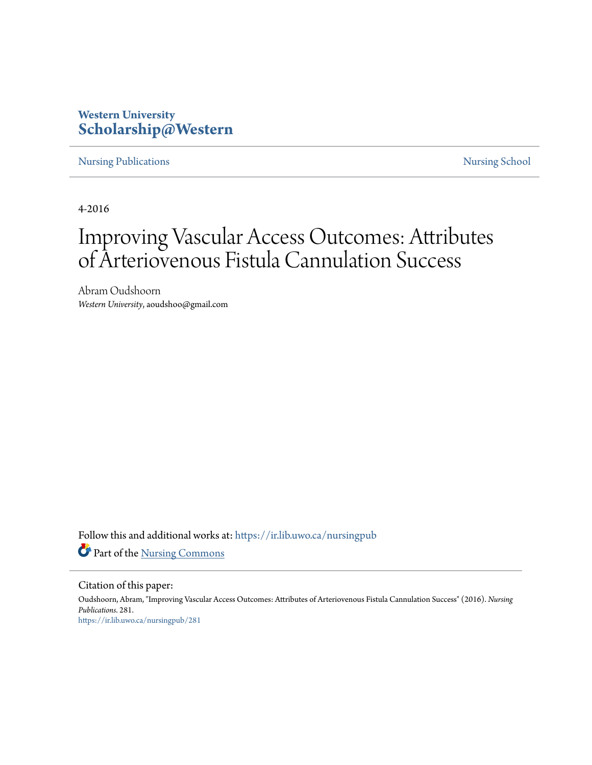# **Western University [Scholarship@Western](https://ir.lib.uwo.ca?utm_source=ir.lib.uwo.ca%2Fnursingpub%2F281&utm_medium=PDF&utm_campaign=PDFCoverPages)**

[Nursing Publications](https://ir.lib.uwo.ca/nursingpub?utm_source=ir.lib.uwo.ca%2Fnursingpub%2F281&utm_medium=PDF&utm_campaign=PDFCoverPages) [Nursing School](https://ir.lib.uwo.ca/nursing?utm_source=ir.lib.uwo.ca%2Fnursingpub%2F281&utm_medium=PDF&utm_campaign=PDFCoverPages)

4-2016

# Improving Vascular Access Outcomes: Attributes of Arteriovenous Fistula Cannulation Success

Abram Oudshoorn *Western University*, aoudshoo@gmail.com

Follow this and additional works at: [https://ir.lib.uwo.ca/nursingpub](https://ir.lib.uwo.ca/nursingpub?utm_source=ir.lib.uwo.ca%2Fnursingpub%2F281&utm_medium=PDF&utm_campaign=PDFCoverPages) Part of the [Nursing Commons](http://network.bepress.com/hgg/discipline/718?utm_source=ir.lib.uwo.ca%2Fnursingpub%2F281&utm_medium=PDF&utm_campaign=PDFCoverPages)

Citation of this paper:

Oudshoorn, Abram, "Improving Vascular Access Outcomes: Attributes of Arteriovenous Fistula Cannulation Success" (2016). *Nursing Publications*. 281. [https://ir.lib.uwo.ca/nursingpub/281](https://ir.lib.uwo.ca/nursingpub/281?utm_source=ir.lib.uwo.ca%2Fnursingpub%2F281&utm_medium=PDF&utm_campaign=PDFCoverPages)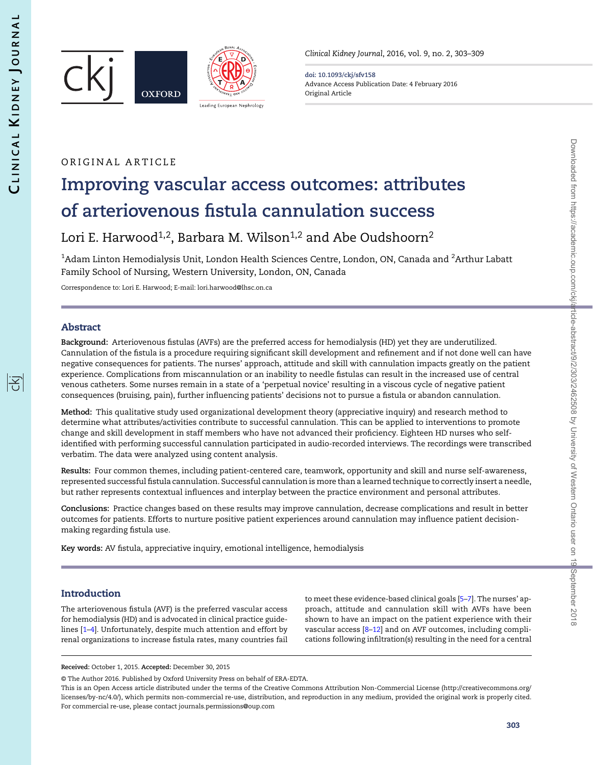ΙŦ





Clinical Kidney Journal, 2016, vol. 9, no. 2, 303–309

doi: 10.1093/ckj/sfv158 Advance Access Publication Date: 4 February 2016 Original Article

# ORIGINAL ARTICLE

# Improving vascular access outcomes: attributes of arteriovenous fistula cannulation success

Lori E. Harwood<sup>1,2</sup>, Barbara M. Wilson<sup>1,2</sup> and Abe Oudshoorn<sup>2</sup>

 $^{\rm 1}$ Adam Linton Hemodialysis Unit, London Health Sciences Centre, London, ON, Canada and  $^{\rm 2}$ Arthur Labatt Family School of Nursing, Western University, London, ON, Canada

Correspondence to: Lori E. Harwood; E-mail: lori.harwood@lhsc.on.ca

# Abstract

Background: Arteriovenous fistulas (AVFs) are the preferred access for hemodialysis (HD) yet they are underutilized. Cannulation of the fistula is a procedure requiring significant skill development and refinement and if not done well can have negative consequences for patients. The nurses' approach, attitude and skill with cannulation impacts greatly on the patient experience. Complications from miscannulation or an inability to needle fistulas can result in the increased use of central venous catheters. Some nurses remain in a state of a 'perpetual novice' resulting in a viscous cycle of negative patient consequences (bruising, pain), further influencing patients' decisions not to pursue a fistula or abandon cannulation.

Method: This qualitative study used organizational development theory (appreciative inquiry) and research method to determine what attributes/activities contribute to successful cannulation. This can be applied to interventions to promote change and skill development in staff members who have not advanced their proficiency. Eighteen HD nurses who selfidentified with performing successful cannulation participated in audio-recorded interviews. The recordings were transcribed verbatim. The data were analyzed using content analysis.

Results: Four common themes, including patient-centered care, teamwork, opportunity and skill and nurse self-awareness, represented successful fistula cannulation. Successful cannulation is more than a learned technique to correctly insert a needle, but rather represents contextual influences and interplay between the practice environment and personal attributes.

Conclusions: Practice changes based on these results may improve cannulation, decrease complications and result in better outcomes for patients. Efforts to nurture positive patient experiences around cannulation may influence patient decisionmaking regarding fistula use.

Key words: AV fistula, appreciative inquiry, emotional intelligence, hemodialysis

# Introduction

The arteriovenous fistula (AVF) is the preferred vascular access for hemodialysis (HD) and is advocated in clinical practice guidelines [[1](#page-6-0)–[4\]](#page-7-0). Unfortunately, despite much attention and effort by renal organizations to increase fistula rates, many countries fail to meet these evidence-based clinical goals [\[5](#page-7-0)–[7](#page-7-0)]. The nurses' approach, attitude and cannulation skill with AVFs have been shown to have an impact on the patient experience with their vascular access [[8](#page-7-0)–[12](#page-7-0)] and on AVF outcomes, including complications following infiltration(s) resulting in the need for a central

© The Author 2016. Published by Oxford University Press on behalf of ERA-EDTA.

This is an Open Access article distributed under the terms of the Creative Commons Attribution Non-Commercial License [\(http://creativecommons.org/](http://creativecommons.org/licenses/by-nc/4.0/) [licenses/by-nc/4.0/](http://creativecommons.org/licenses/by-nc/4.0/)), which permits non-commercial re-use, distribution, and reproduction in any medium, provided the original work is properly cited. For commercial re-use, please contact journals.permissions@oup.com

Received: October 1, 2015. Accepted: December 30, 2015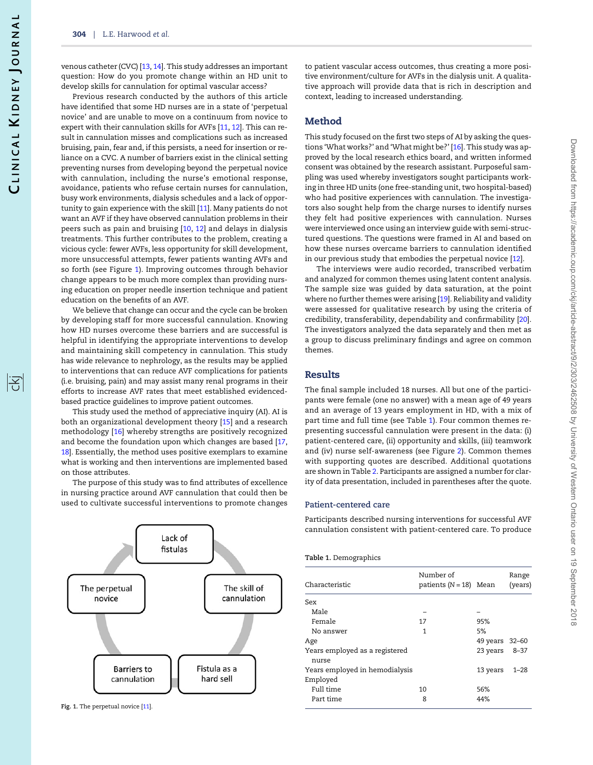陪

venous catheter (CVC) [[13,](#page-7-0) [14\]](#page-7-0). This study addresses an important question: How do you promote change within an HD unit to develop skills for cannulation for optimal vascular access?

Previous research conducted by the authors of this article have identified that some HD nurses are in a state of 'perpetual novice' and are unable to move on a continuum from novice to expert with their cannulation skills for AVFs [\[11,](#page-7-0) [12\]](#page-7-0). This can result in cannulation misses and complications such as increased bruising, pain, fear and, if this persists, a need for insertion or reliance on a CVC. A number of barriers exist in the clinical setting preventing nurses from developing beyond the perpetual novice with cannulation, including the nurse's emotional response, avoidance, patients who refuse certain nurses for cannulation, busy work environments, dialysis schedules and a lack of opportunity to gain experience with the skill [\[11](#page-7-0)]. Many patients do not want an AVF if they have observed cannulation problems in their peers such as pain and bruising [[10](#page-7-0), [12\]](#page-7-0) and delays in dialysis treatments. This further contributes to the problem, creating a vicious cycle: fewer AVFs, less opportunity for skill development, more unsuccessful attempts, fewer patients wanting AVFs and so forth (see Figure 1). Improving outcomes through behavior change appears to be much more complex than providing nursing education on proper needle insertion technique and patient education on the benefits of an AVF.

We believe that change can occur and the cycle can be broken by developing staff for more successful cannulation. Knowing how HD nurses overcome these barriers and are successful is helpful in identifying the appropriate interventions to develop and maintaining skill competency in cannulation. This study has wide relevance to nephrology, as the results may be applied to interventions that can reduce AVF complications for patients (i.e. bruising, pain) and may assist many renal programs in their efforts to increase AVF rates that meet established evidencedbased practice guidelines to improve patient outcomes.

This study used the method of appreciative inquiry (AI). AI is both an organizational development theory [[15](#page-7-0)] and a research methodology [[16](#page-7-0)] whereby strengths are positively recognized and become the foundation upon which changes are based [[17](#page-7-0), [18](#page-7-0)]. Essentially, the method uses positive exemplars to examine what is working and then interventions are implemented based on those attributes.

The purpose of this study was to find attributes of excellence in nursing practice around AVF cannulation that could then be used to cultivate successful interventions to promote changes



Fig. 1. The perpetual novice [[11](#page-7-0)].

to patient vascular access outcomes, thus creating a more positive environment/culture for AVFs in the dialysis unit. A qualitative approach will provide data that is rich in description and context, leading to increased understanding.

# Method

This study focused on the first two steps of AI by asking the questions 'What works?' and 'What might be?' [\[16](#page-7-0)]. This study was approved by the local research ethics board, and written informed consent was obtained by the research assistant. Purposeful sampling was used whereby investigators sought participants working in three HD units (one free-standing unit, two hospital-based) who had positive experiences with cannulation. The investigators also sought help from the charge nurses to identify nurses they felt had positive experiences with cannulation. Nurses were interviewed once using an interview guide with semi-structured questions. The questions were framed in AI and based on how these nurses overcame barriers to cannulation identified in our previous study that embodies the perpetual novice [\[12\]](#page-7-0).

The interviews were audio recorded, transcribed verbatim and analyzed for common themes using latent content analysis. The sample size was guided by data saturation, at the point where no further themes were arising [\[19\]](#page-7-0). Reliability and validity were assessed for qualitative research by using the criteria of credibility, transferability, dependability and confirmability [\[20\]](#page-7-0). The investigators analyzed the data separately and then met as a group to discuss preliminary findings and agree on common themes.

## Results

The final sample included 18 nurses. All but one of the participants were female (one no answer) with a mean age of 49 years and an average of 13 years employment in HD, with a mix of part time and full time (see Table 1). Four common themes representing successful cannulation were present in the data: (i) patient-centered care, (ii) opportunity and skills, (iii) teamwork and (iv) nurse self-awareness (see Figure [2\)](#page-3-0). Common themes with supporting quotes are described. Additional quotations are shown in Table [2.](#page-3-0) Participants are assigned a number for clarity of data presentation, included in parentheses after the quote.

#### Patient-centered care

Participants described nursing interventions for successful AVF cannulation consistent with patient-centered care. To produce

|  | Table 1. Demographics |  |
|--|-----------------------|--|
|--|-----------------------|--|

| Number of |          | Range<br>(years)                             |
|-----------|----------|----------------------------------------------|
|           |          |                                              |
|           |          |                                              |
| 17        | 95%      |                                              |
| 1         | 5%       |                                              |
|           |          |                                              |
|           | 23 years | 8–37                                         |
|           | 13 years | $1 - 28$                                     |
|           |          |                                              |
| 10        | 56%      |                                              |
| 8         | 44%      |                                              |
|           |          | patients ( $N = 18$ ) Mean<br>49 years 32-60 |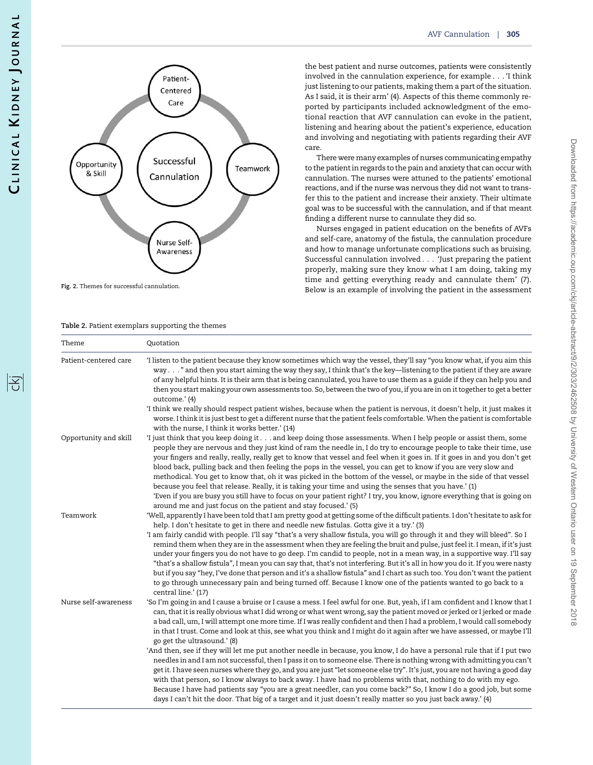<span id="page-3-0"></span>

# Table 2. Patient exemplars supporting the themes

the best patient and nurse outcomes, patients were consistently involved in the cannulation experience, for example . . . 'I think just listening to our patients, making them a part of the situation. As I said, it is their arm' (4). Aspects of this theme commonly reported by participants included acknowledgment of the emotional reaction that AVF cannulation can evoke in the patient, listening and hearing about the patient's experience, education and involving and negotiating with patients regarding their AVF care.

There were many examples of nurses communicating empathy to the patient in regards to the pain and anxiety that can occur with cannulation. The nurses were attuned to the patients' emotional reactions, and if the nurse was nervous they did not want to transfer this to the patient and increase their anxiety. Their ultimate goal was to be successful with the cannulation, and if that meant finding a different nurse to cannulate they did so.

Nurses engaged in patient education on the benefits of AVFs and self-care, anatomy of the fistula, the cannulation procedure and how to manage unfortunate complications such as bruising. Successful cannulation involved . . . 'Just preparing the patient properly, making sure they know what I am doing, taking my time and getting everything ready and cannulate them' (7). Below is an example of involving the patient in the assessment

| Theme                 | Quotation                                                                                                                                                                                                                                                                                                                                                                                                                                                                                                                                                                                                                                                                                                                                                                                                                                                                                                                                                                                                                                                                                                                                                                                                                                                                                  |
|-----------------------|--------------------------------------------------------------------------------------------------------------------------------------------------------------------------------------------------------------------------------------------------------------------------------------------------------------------------------------------------------------------------------------------------------------------------------------------------------------------------------------------------------------------------------------------------------------------------------------------------------------------------------------------------------------------------------------------------------------------------------------------------------------------------------------------------------------------------------------------------------------------------------------------------------------------------------------------------------------------------------------------------------------------------------------------------------------------------------------------------------------------------------------------------------------------------------------------------------------------------------------------------------------------------------------------|
| Patient-centered care | 'I listen to the patient because they know sometimes which way the vessel, they'll say "you know what, if you aim this<br>way" and then you start aiming the way they say, I think that's the key—listening to the patient if they are aware<br>of any helpful hints. It is their arm that is being cannulated, you have to use them as a guide if they can help you and<br>then you start making your own assessments too. So, between the two of you, if you are in on it together to get a better<br>outcome.' (4)                                                                                                                                                                                                                                                                                                                                                                                                                                                                                                                                                                                                                                                                                                                                                                      |
|                       | 'I think we really should respect patient wishes, because when the patient is nervous, it doesn't help, it just makes it<br>worse. I think it is just best to get a different nurse that the patient feels comfortable. When the patient is comfortable<br>with the nurse, I think it works better.' (14)                                                                                                                                                                                                                                                                                                                                                                                                                                                                                                                                                                                                                                                                                                                                                                                                                                                                                                                                                                                  |
| Opportunity and skill | 'I just think that you keep doing it. and keep doing those assessments. When I help people or assist them, some<br>people they are nervous and they just kind of ram the needle in, I do try to encourage people to take their time, use<br>your fingers and really, really, really get to know that vessel and feel when it goes in. If it goes in and you don't get<br>blood back, pulling back and then feeling the pops in the vessel, you can get to know if you are very slow and<br>methodical. You get to know that, oh it was picked in the bottom of the vessel, or maybe in the side of that vessel<br>because you feel that release. Really, it is taking your time and using the senses that you have.' (1)<br>'Even if you are busy you still have to focus on your patient right? I try, you know, ignore everything that is going on<br>around me and just focus on the patient and stay focused.' (5)                                                                                                                                                                                                                                                                                                                                                                     |
| Teamwork              | 'Well, apparently I have been told that I am pretty good at getting some of the difficult patients. I don't hesitate to ask for<br>help. I don't hesitate to get in there and needle new fistulas. Gotta give it a try.' (3)<br>'I am fairly candid with people. I'll say "that's a very shallow fistula, you will go through it and they will bleed". So I<br>remind them when they are in the assessment when they are feeling the bruit and pulse, just feel it. I mean, if it's just<br>under your fingers you do not have to go deep. I'm candid to people, not in a mean way, in a supportive way. I'll say<br>"that's a shallow fistula", I mean you can say that, that's not interfering. But it's all in how you do it. If you were nasty<br>but if you say "hey, I've done that person and it's a shallow fistula" and I chart as such too. You don't want the patient<br>to go through unnecessary pain and being turned off. Because I know one of the patients wanted to go back to a<br>central line.' (17)                                                                                                                                                                                                                                                                  |
| Nurse self-awareness  | 'So I'm going in and I cause a bruise or I cause a mess. I feel awful for one. But, yeah, if I am confident and I know that I<br>can, that it is really obvious what I did wrong or what went wrong, say the patient moved or jerked or I jerked or made<br>a bad call, um, I will attempt one more time. If I was really confident and then I had a problem, I would call somebody<br>in that I trust. Come and look at this, see what you think and I might do it again after we have assessed, or maybe I'll<br>go get the ultrasound.' (8)<br>'And then, see if they will let me put another needle in because, you know, I do have a personal rule that if I put two<br>needles in and I am not successful, then I pass it on to someone else. There is nothing wrong with admitting you can't<br>get it. I have seen nurses where they go, and you are just "let someone else try". It's just, you are not having a good day<br>with that person, so I know always to back away. I have had no problems with that, nothing to do with my ego.<br>Because I have had patients say "you are a great needler, can you come back?" So, I know I do a good job, but some<br>days I can't hit the door. That big of a target and it just doesn't really matter so you just back away.' (4) |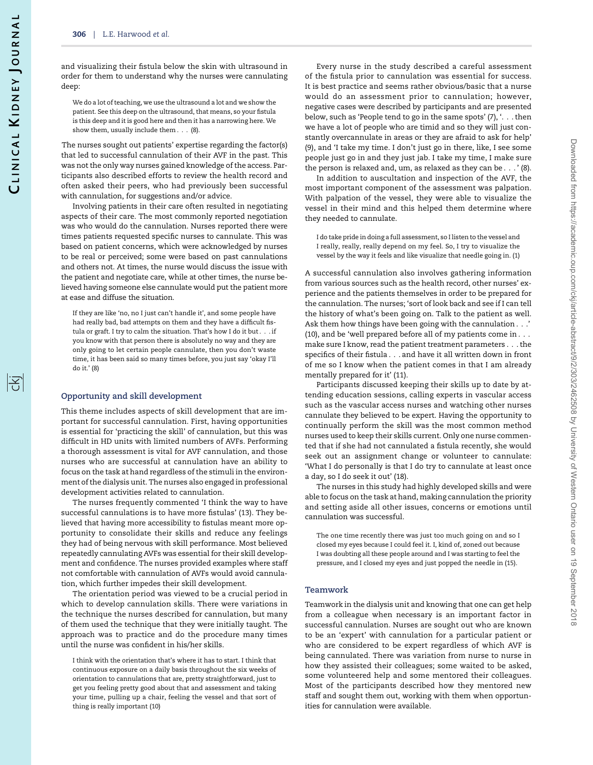We do a lot of teaching, we use the ultrasound a lot and we show the patient. See this deep on the ultrasound, that means, so your fistula is this deep and it is good here and then it has a narrowing here. We show them, usually include them . . . (8).

The nurses sought out patients' expertise regarding the factor(s) that led to successful cannulation of their AVF in the past. This was not the only way nurses gained knowledge of the access. Participants also described efforts to review the health record and often asked their peers, who had previously been successful with cannulation, for suggestions and/or advice.

Involving patients in their care often resulted in negotiating aspects of their care. The most commonly reported negotiation was who would do the cannulation. Nurses reported there were times patients requested specific nurses to cannulate. This was based on patient concerns, which were acknowledged by nurses to be real or perceived; some were based on past cannulations and others not. At times, the nurse would discuss the issue with the patient and negotiate care, while at other times, the nurse believed having someone else cannulate would put the patient more at ease and diffuse the situation.

If they are like 'no, no I just can't handle it', and some people have had really bad, bad attempts on them and they have a difficult fistula or graft. I try to calm the situation. That's how I do it but . . . if you know with that person there is absolutely no way and they are only going to let certain people cannulate, then you don't waste time, it has been said so many times before, you just say 'okay I'll do it.' (8)

#### Opportunity and skill development

This theme includes aspects of skill development that are important for successful cannulation. First, having opportunities is essential for 'practicing the skill' of cannulation, but this was difficult in HD units with limited numbers of AVFs. Performing a thorough assessment is vital for AVF cannulation, and those nurses who are successful at cannulation have an ability to focus on the task at hand regardless of the stimuli in the environment of the dialysis unit. The nurses also engaged in professional development activities related to cannulation.

The nurses frequently commented 'I think the way to have successful cannulations is to have more fistulas' (13). They believed that having more accessibility to fistulas meant more opportunity to consolidate their skills and reduce any feelings they had of being nervous with skill performance. Most believed repeatedly cannulating AVFs was essential for their skill development and confidence. The nurses provided examples where staff not comfortable with cannulation of AVFs would avoid cannulation, which further impedes their skill development.

The orientation period was viewed to be a crucial period in which to develop cannulation skills. There were variations in the technique the nurses described for cannulation, but many of them used the technique that they were initially taught. The approach was to practice and do the procedure many times until the nurse was confident in his/her skills.

I think with the orientation that's where it has to start. I think that continuous exposure on a daily basis throughout the six weeks of orientation to cannulations that are, pretty straightforward, just to get you feeling pretty good about that and assessment and taking your time, pulling up a chair, feeling the vessel and that sort of thing is really important (10)

Every nurse in the study described a careful assessment of the fistula prior to cannulation was essential for success. It is best practice and seems rather obvious/basic that a nurse would do an assessment prior to cannulation; however, negative cases were described by participants and are presented below, such as 'People tend to go in the same spots' (7), '. . . then we have a lot of people who are timid and so they will just constantly overcannulate in areas or they are afraid to ask for help' (9), and 'I take my time. I don't just go in there, like, I see some people just go in and they just jab. I take my time, I make sure the person is relaxed and, um, as relaxed as they can be . . . ' (8).

In addition to auscultation and inspection of the AVF, the most important component of the assessment was palpation. With palpation of the vessel, they were able to visualize the vessel in their mind and this helped them determine where they needed to cannulate.

I do take pride in doing a full assessment, so I listen to the vessel and I really, really, really depend on my feel. So, I try to visualize the vessel by the way it feels and like visualize that needle going in. (1)

A successful cannulation also involves gathering information from various sources such as the health record, other nurses' experience and the patients themselves in order to be prepared for the cannulation. The nurses; 'sort of look back and see if I can tell the history of what's been going on. Talk to the patient as well. Ask them how things have been going with the cannulation . . .' (10), and be 'well prepared before all of my patients come in . . . make sure I know, read the patient treatment parameters . . . the specifics of their fistula . . . and have it all written down in front of me so I know when the patient comes in that I am already mentally prepared for it' (11).

Participants discussed keeping their skills up to date by attending education sessions, calling experts in vascular access such as the vascular access nurses and watching other nurses cannulate they believed to be expert. Having the opportunity to continually perform the skill was the most common method nurses used to keep their skills current. Only one nurse commented that if she had not cannulated a fistula recently, she would seek out an assignment change or volunteer to cannulate: 'What I do personally is that I do try to cannulate at least once a day, so I do seek it out' (18).

The nurses in this study had highly developed skills and were able to focus on the task at hand, making cannulation the priority and setting aside all other issues, concerns or emotions until cannulation was successful.

The one time recently there was just too much going on and so I closed my eyes because I could feel it. I, kind of, zoned out because I was doubting all these people around and I was starting to feel the pressure, and I closed my eyes and just popped the needle in (15).

#### Teamwork

Teamwork in the dialysis unit and knowing that one can get help from a colleague when necessary is an important factor in successful cannulation. Nurses are sought out who are known to be an 'expert' with cannulation for a particular patient or who are considered to be expert regardless of which AVF is being cannulated. There was variation from nurse to nurse in how they assisted their colleagues; some waited to be asked, some volunteered help and some mentored their colleagues. Most of the participants described how they mentored new staff and sought them out, working with them when opportunities for cannulation were available.

ΙŦ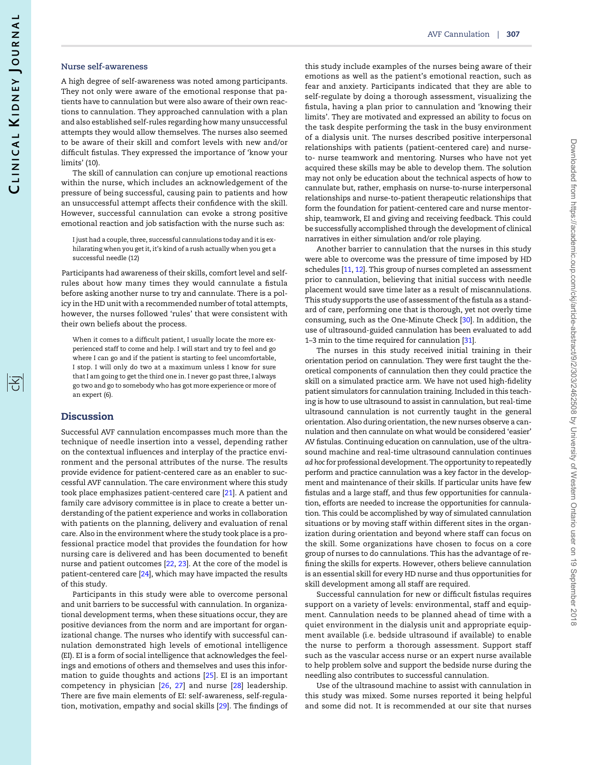#### Nurse self-awareness

A high degree of self-awareness was noted among participants. They not only were aware of the emotional response that patients have to cannulation but were also aware of their own reactions to cannulation. They approached cannulation with a plan and also established self-rules regarding how many unsuccessful attempts they would allow themselves. The nurses also seemed to be aware of their skill and comfort levels with new and/or difficult fistulas. They expressed the importance of 'know your limits' (10).

The skill of cannulation can conjure up emotional reactions within the nurse, which includes an acknowledgement of the pressure of being successful, causing pain to patients and how an unsuccessful attempt affects their confidence with the skill. However, successful cannulation can evoke a strong positive emotional reaction and job satisfaction with the nurse such as:

I just had a couple, three, successful cannulations today and it is exhilarating when you get it, it's kind of a rush actually when you get a successful needle (12)

Participants had awareness of their skills, comfort level and selfrules about how many times they would cannulate a fistula before asking another nurse to try and cannulate. There is a policy in the HD unit with a recommended number of total attempts, however, the nurses followed 'rules' that were consistent with their own beliefs about the process.

When it comes to a difficult patient, I usually locate the more experienced staff to come and help. I will start and try to feel and go where I can go and if the patient is starting to feel uncomfortable, I stop. I will only do two at a maximum unless I know for sure that I am going to get the third one in. I never go past three, I always go two and go to somebody who has got more experience or more of an expert (6).

# Discussion

Successful AVF cannulation encompasses much more than the technique of needle insertion into a vessel, depending rather on the contextual influences and interplay of the practice environment and the personal attributes of the nurse. The results provide evidence for patient-centered care as an enabler to successful AVF cannulation. The care environment where this study took place emphasizes patient-centered care [\[21](#page-7-0)]. A patient and family care advisory committee is in place to create a better understanding of the patient experience and works in collaboration with patients on the planning, delivery and evaluation of renal care. Also in the environment where the study took place is a professional practice model that provides the foundation for how nursing care is delivered and has been documented to benefit nurse and patient outcomes [[22,](#page-7-0) [23\]](#page-7-0). At the core of the model is patient-centered care [[24\]](#page-7-0), which may have impacted the results of this study.

Participants in this study were able to overcome personal and unit barriers to be successful with cannulation. In organizational development terms, when these situations occur, they are positive deviances from the norm and are important for organizational change. The nurses who identify with successful cannulation demonstrated high levels of emotional intelligence (EI). EI is a form of social intelligence that acknowledges the feelings and emotions of others and themselves and uses this information to guide thoughts and actions [\[25\]](#page-7-0). EI is an important competency in physician [\[26,](#page-7-0) [27](#page-7-0)] and nurse [[28](#page-7-0)] leadership. There are five main elements of EI: self-awareness, self-regulation, motivation, empathy and social skills [\[29\]](#page-7-0). The findings of

this study include examples of the nurses being aware of their emotions as well as the patient's emotional reaction, such as fear and anxiety. Participants indicated that they are able to self-regulate by doing a thorough assessment, visualizing the fistula, having a plan prior to cannulation and 'knowing their limits'. They are motivated and expressed an ability to focus on the task despite performing the task in the busy environment of a dialysis unit. The nurses described positive interpersonal relationships with patients (patient-centered care) and nurseto- nurse teamwork and mentoring. Nurses who have not yet acquired these skills may be able to develop them. The solution may not only be education about the technical aspects of how to cannulate but, rather, emphasis on nurse-to-nurse interpersonal relationships and nurse-to-patient therapeutic relationships that form the foundation for patient-centered care and nurse mentorship, teamwork, EI and giving and receiving feedback. This could be successfully accomplished through the development of clinical narratives in either simulation and/or role playing.

Another barrier to cannulation that the nurses in this study were able to overcome was the pressure of time imposed by HD schedules [\[11](#page-7-0), [12](#page-7-0)]. This group of nurses completed an assessment prior to cannulation, believing that initial success with needle placement would save time later as a result of miscannulations. This study supports the use of assessment of the fistula as a standard of care, performing one that is thorough, yet not overly time consuming, such as the One-Minute Check [[30\]](#page-7-0). In addition, the use of ultrasound-guided cannulation has been evaluated to add 1–3 min to the time required for cannulation [[31\]](#page-7-0).

The nurses in this study received initial training in their orientation period on cannulation. They were first taught the theoretical components of cannulation then they could practice the skill on a simulated practice arm. We have not used high-fidelity patient simulators for cannulation training. Included in this teaching is how to use ultrasound to assist in cannulation, but real-time ultrasound cannulation is not currently taught in the general orientation. Also during orientation, the new nurses observe a cannulation and then cannulate on what would be considered 'easier' AV fistulas. Continuing education on cannulation, use of the ultrasound machine and real-time ultrasound cannulation continues ad hoc for professional development. The opportunity to repeatedly perform and practice cannulation was a key factor in the development and maintenance of their skills. If particular units have few fistulas and a large staff, and thus few opportunities for cannulation, efforts are needed to increase the opportunities for cannulation. This could be accomplished by way of simulated cannulation situations or by moving staff within different sites in the organization during orientation and beyond where staff can focus on the skill. Some organizations have chosen to focus on a core group of nurses to do cannulations. This has the advantage of refining the skills for experts. However, others believe cannulation is an essential skill for every HD nurse and thus opportunities for skill development among all staff are required.

Successful cannulation for new or difficult fistulas requires support on a variety of levels: environmental, staff and equipment. Cannulation needs to be planned ahead of time with a quiet environment in the dialysis unit and appropriate equipment available (i.e. bedside ultrasound if available) to enable the nurse to perform a thorough assessment. Support staff such as the vascular access nurse or an expert nurse available to help problem solve and support the bedside nurse during the needling also contributes to successful cannulation.

Use of the ultrasound machine to assist with cannulation in this study was mixed. Some nurses reported it being helpful and some did not. It is recommended at our site that nurses

序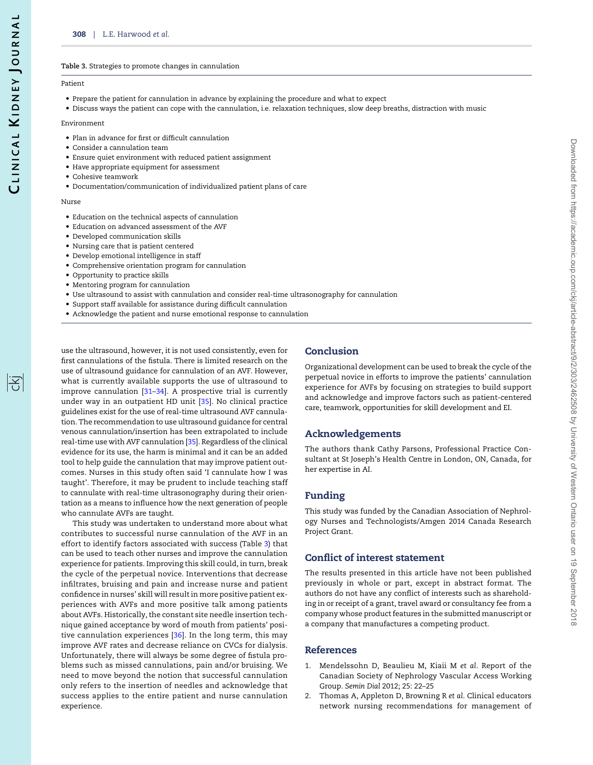序

#### <span id="page-6-0"></span>Table 3. Strategies to promote changes in cannulation

## Patient

- Prepare the patient for cannulation in advance by explaining the procedure and what to expect
- Discuss ways the patient can cope with the cannulation, i.e. relaxation techniques, slow deep breaths, distraction with music

#### Environment

- Plan in advance for first or difficult cannulation
- Consider a cannulation team
- Ensure quiet environment with reduced patient assignment
- Have appropriate equipment for assessment
- Cohesive teamwork
- Documentation/communication of individualized patient plans of care

#### Nurse

- Education on the technical aspects of cannulation
- Education on advanced assessment of the AVF
- Developed communication skills
- Nursing care that is patient centered
- Develop emotional intelligence in staff
- Comprehensive orientation program for cannulation
- Opportunity to practice skills
- Mentoring program for cannulation
- Use ultrasound to assist with cannulation and consider real-time ultrasonography for cannulation
- Support staff available for assistance during difficult cannulation
- Acknowledge the patient and nurse emotional response to cannulation

use the ultrasound, however, it is not used consistently, even for first cannulations of the fistula. There is limited research on the use of ultrasound guidance for cannulation of an AVF. However, what is currently available supports the use of ultrasound to improve cannulation [[31](#page-7-0)–[34\]](#page-7-0). A prospective trial is currently under way in an outpatient HD unit [[35](#page-7-0)]. No clinical practice guidelines exist for the use of real-time ultrasound AVF cannulation. The recommendation to use ultrasound guidance for central venous cannulation/insertion has been extrapolated to include real-time use with AVF cannulation [\[35](#page-7-0)]. Regardless of the clinical evidence for its use, the harm is minimal and it can be an added tool to help guide the cannulation that may improve patient outcomes. Nurses in this study often said 'I cannulate how I was taught'. Therefore, it may be prudent to include teaching staff to cannulate with real-time ultrasonography during their orientation as a means to influence how the next generation of people who cannulate AVFs are taught.

This study was undertaken to understand more about what contributes to successful nurse cannulation of the AVF in an effort to identify factors associated with success (Table 3) that can be used to teach other nurses and improve the cannulation experience for patients. Improving this skill could, in turn, break the cycle of the perpetual novice. Interventions that decrease infiltrates, bruising and pain and increase nurse and patient confidence in nurses' skill will result in more positive patient experiences with AVFs and more positive talk among patients about AVFs. Historically, the constant site needle insertion technique gained acceptance by word of mouth from patients' positive cannulation experiences [\[36](#page-7-0)]. In the long term, this may improve AVF rates and decrease reliance on CVCs for dialysis. Unfortunately, there will always be some degree of fistula problems such as missed cannulations, pain and/or bruising. We need to move beyond the notion that successful cannulation only refers to the insertion of needles and acknowledge that success applies to the entire patient and nurse cannulation experience.

### Conclusion

Organizational development can be used to break the cycle of the perpetual novice in efforts to improve the patients' cannulation experience for AVFs by focusing on strategies to build support and acknowledge and improve factors such as patient-centered care, teamwork, opportunities for skill development and EI.

## Acknowledgements

The authors thank Cathy Parsons, Professional Practice Consultant at St Joseph's Health Centre in London, ON, Canada, for her expertise in AI.

# Funding

This study was funded by the Canadian Association of Nephrology Nurses and Technologists/Amgen 2014 Canada Research Project Grant.

# Conflict of interest statement

The results presented in this article have not been published previously in whole or part, except in abstract format. The authors do not have any conflict of interests such as shareholding in or receipt of a grant, travel award or consultancy fee from a company whose product features in the submitted manuscript or a company that manufactures a competing product.

### References

- 1. Mendelssohn D, Beaulieu M, Kiaii M et al. Report of the Canadian Society of Nephrology Vascular Access Working Group. Semin Dial 2012; 25: 22–25
- 2. Thomas A, Appleton D, Browning R et al. Clinical educators network nursing recommendations for management of